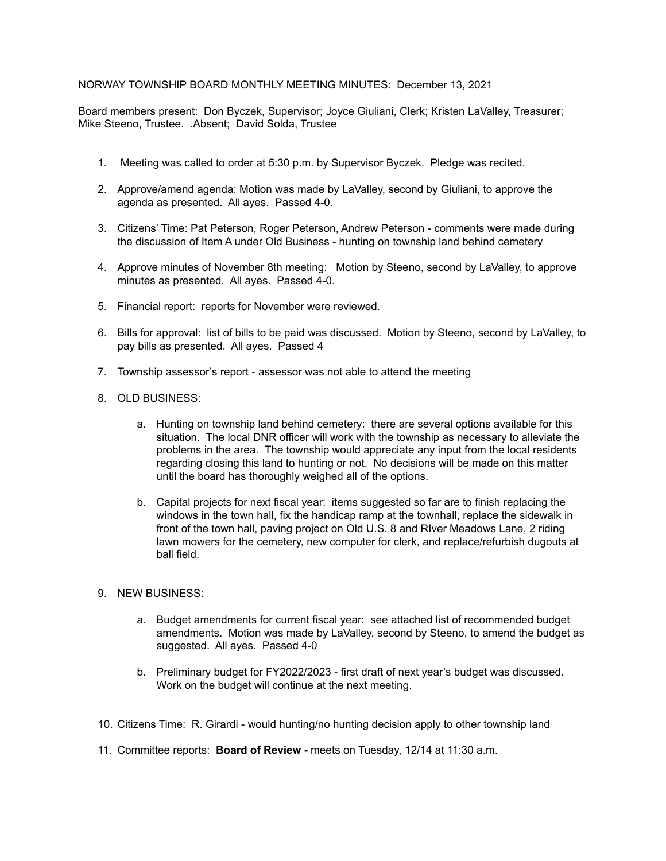## NORWAY TOWNSHIP BOARD MONTHLY MEETING MINUTES: December 13, 2021

Board members present: Don Byczek, Supervisor; Joyce Giuliani, Clerk; Kristen LaValley, Treasurer; Mike Steeno, Trustee. .Absent; David Solda, Trustee

- 1. Meeting was called to order at 5:30 p.m. by Supervisor Byczek. Pledge was recited.
- 2. Approve/amend agenda: Motion was made by LaValley, second by Giuliani, to approve the agenda as presented. All ayes. Passed 4-0.
- 3. Citizens' Time: Pat Peterson, Roger Peterson, Andrew Peterson comments were made during the discussion of Item A under Old Business - hunting on township land behind cemetery
- 4. Approve minutes of November 8th meeting: Motion by Steeno, second by LaValley, to approve minutes as presented. All ayes. Passed 4-0.
- 5. Financial report: reports for November were reviewed.
- 6. Bills for approval: list of bills to be paid was discussed. Motion by Steeno, second by LaValley, to pay bills as presented. All ayes. Passed 4
- 7. Township assessor's report assessor was not able to attend the meeting
- 8. OLD BUSINESS:
	- a. Hunting on township land behind cemetery: there are several options available for this situation. The local DNR officer will work with the township as necessary to alleviate the problems in the area. The township would appreciate any input from the local residents regarding closing this land to hunting or not. No decisions will be made on this matter until the board has thoroughly weighed all of the options.
	- b. Capital projects for next fiscal year: items suggested so far are to finish replacing the windows in the town hall, fix the handicap ramp at the townhall, replace the sidewalk in front of the town hall, paving project on Old U.S. 8 and RIver Meadows Lane, 2 riding lawn mowers for the cemetery, new computer for clerk, and replace/refurbish dugouts at ball field.
- 9. NEW BUSINESS:
	- a. Budget amendments for current fiscal year: see attached list of recommended budget amendments. Motion was made by LaValley, second by Steeno, to amend the budget as suggested. All ayes. Passed 4-0
	- b. Preliminary budget for FY2022/2023 first draft of next year's budget was discussed. Work on the budget will continue at the next meeting.
- 10. Citizens Time: R. Girardi would hunting/no hunting decision apply to other township land
- 11. Committee reports: **Board of Review -** meets on Tuesday, 12/14 at 11:30 a.m.